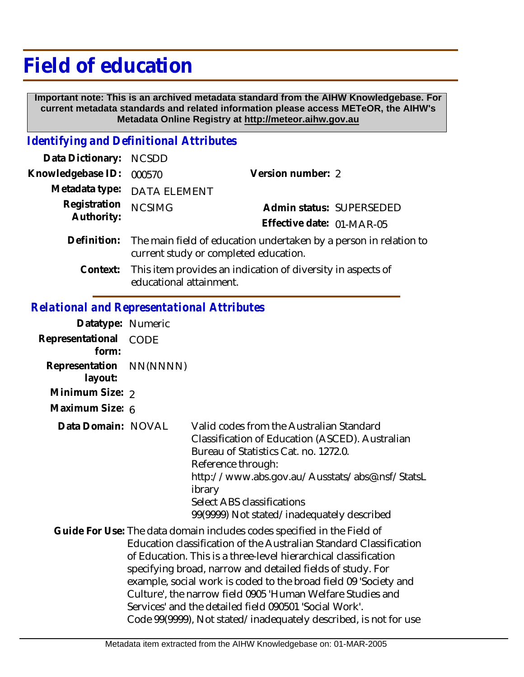## **Field of education**

 **Important note: This is an archived metadata standard from the AIHW Knowledgebase. For current metadata standards and related information please access METeOR, the AIHW's Metadata Online Registry at http://meteor.aihw.gov.au**

## *Identifying and Definitional Attributes*

| Data Dictionary: NCSDD     |                                                                                                                        |                           |                          |
|----------------------------|------------------------------------------------------------------------------------------------------------------------|---------------------------|--------------------------|
| Knowledgebase ID:          | 000570                                                                                                                 | Version number: 2         |                          |
|                            | Metadata type: DATA ELEMENT                                                                                            |                           |                          |
| Registration<br>Authority: | <b>NCSIMG</b>                                                                                                          |                           | Admin status: SUPERSEDED |
|                            |                                                                                                                        | Effective date: 01-MAR-05 |                          |
|                            | Definition: The main field of education undertaken by a person in relation to<br>current study or completed education. |                           |                          |

This item provides an indication of diversity in aspects of educational attainment. **Context:**

## *Relational and Representational Attributes*

| Datatype: Numeric         |             |                                                                                                                                                                                                                                                                                                                                                                                                                                                                                                                                                |
|---------------------------|-------------|------------------------------------------------------------------------------------------------------------------------------------------------------------------------------------------------------------------------------------------------------------------------------------------------------------------------------------------------------------------------------------------------------------------------------------------------------------------------------------------------------------------------------------------------|
| Representational<br>form: | <b>CODE</b> |                                                                                                                                                                                                                                                                                                                                                                                                                                                                                                                                                |
| Representation<br>layout: | NN(NNNN)    |                                                                                                                                                                                                                                                                                                                                                                                                                                                                                                                                                |
| Minimum Size: 2           |             |                                                                                                                                                                                                                                                                                                                                                                                                                                                                                                                                                |
| Maximum Size: 6           |             |                                                                                                                                                                                                                                                                                                                                                                                                                                                                                                                                                |
| Data Domain: NOVAL        |             | Valid codes from the Australian Standard<br>Classification of Education (ASCED). Australian<br>Bureau of Statistics Cat. no. 1272.0.<br>Reference through:<br>http://www.abs.gov.au/Ausstats/abs@.nsf/StatsL<br>ibrary<br>Select ABS classifications<br>99(9999) Not stated/inadequately described                                                                                                                                                                                                                                             |
|                           |             | Guide For Use: The data domain includes codes specified in the Field of<br>Education classification of the Australian Standard Classification<br>of Education. This is a three-level hierarchical classification<br>specifying broad, narrow and detailed fields of study. For<br>example, social work is coded to the broad field 09 'Society and<br>Culture', the narrow field 0905 'Human Welfare Studies and<br>Services' and the detailed field 090501 'Social Work'.<br>Code 99(9999), Not stated/inadequately described, is not for use |